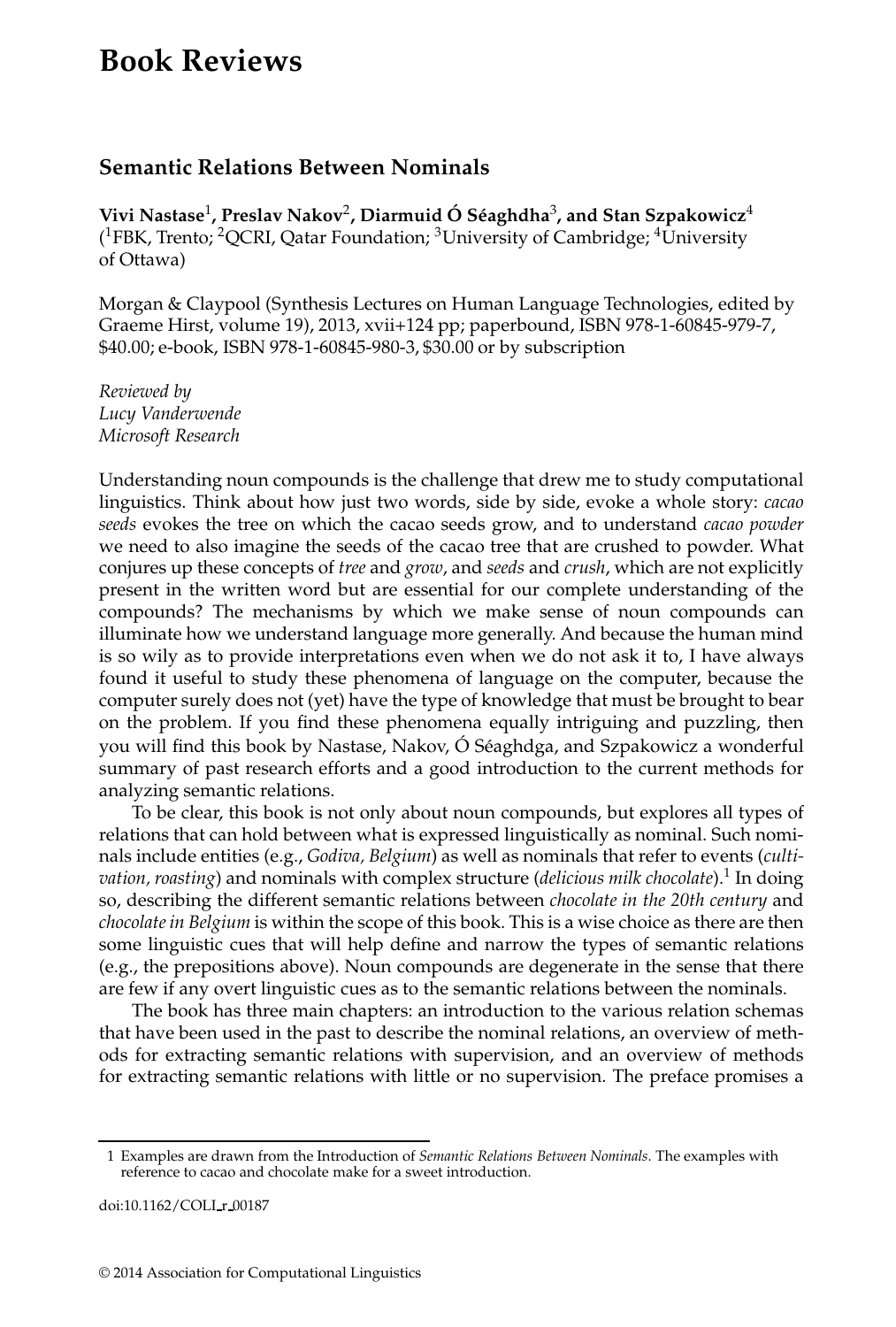## **Book Reviews**

## **Semantic Relations Between Nominals**

**Vivi Nastase**<sup>1</sup> **, Preslav Nakov**<sup>2</sup> **, Diarmuid O S´eaghdha ´** <sup>3</sup> **, and Stan Szpakowicz**<sup>4</sup> (<sup>1</sup>FBK, Trento; <sup>2</sup>QCRI, Qatar Foundation; <sup>3</sup>University of Cambridge; <sup>4</sup>University of Ottawa)

Morgan & Claypool (Synthesis Lectures on Human Language Technologies, edited by Graeme Hirst, volume 19), 2013, xvii+124 pp; paperbound, ISBN 978-1-60845-979-7, \$40.00; e-book, ISBN 978-1-60845-980-3, \$30.00 or by subscription

*Reviewed by Lucy Vanderwende Microsoft Research*

Understanding noun compounds is the challenge that drew me to study computational linguistics. Think about how just two words, side by side, evoke a whole story: *cacao seeds* evokes the tree on which the cacao seeds grow, and to understand *cacao powder* we need to also imagine the seeds of the cacao tree that are crushed to powder. What conjures up these concepts of *tree* and *grow*, and *seeds* and *crush*, which are not explicitly present in the written word but are essential for our complete understanding of the compounds? The mechanisms by which we make sense of noun compounds can illuminate how we understand language more generally. And because the human mind is so wily as to provide interpretations even when we do not ask it to, I have always found it useful to study these phenomena of language on the computer, because the computer surely does not (yet) have the type of knowledge that must be brought to bear on the problem. If you find these phenomena equally intriguing and puzzling, then you will find this book by Nastase, Nakov, Ó Séaghdga, and Szpakowicz a wonderful summary of past research efforts and a good introduction to the current methods for analyzing semantic relations.

To be clear, this book is not only about noun compounds, but explores all types of relations that can hold between what is expressed linguistically as nominal. Such nominals include entities (e.g., *Godiva, Belgium*) as well as nominals that refer to events (*cultivation, roasting*) and nominals with complex structure (*delicious milk chocolate*).<sup>1</sup> In doing so, describing the different semantic relations between *chocolate in the 20th century* and *chocolate in Belgium* is within the scope of this book. This is a wise choice as there are then some linguistic cues that will help define and narrow the types of semantic relations (e.g., the prepositions above). Noun compounds are degenerate in the sense that there are few if any overt linguistic cues as to the semantic relations between the nominals.

The book has three main chapters: an introduction to the various relation schemas that have been used in the past to describe the nominal relations, an overview of methods for extracting semantic relations with supervision, and an overview of methods for extracting semantic relations with little or no supervision. The preface promises a

doi:10.1162/COLI r 00187

<sup>1</sup> Examples are drawn from the Introduction of *Semantic Relations Between Nominals*. The examples with reference to cacao and chocolate make for a sweet introduction.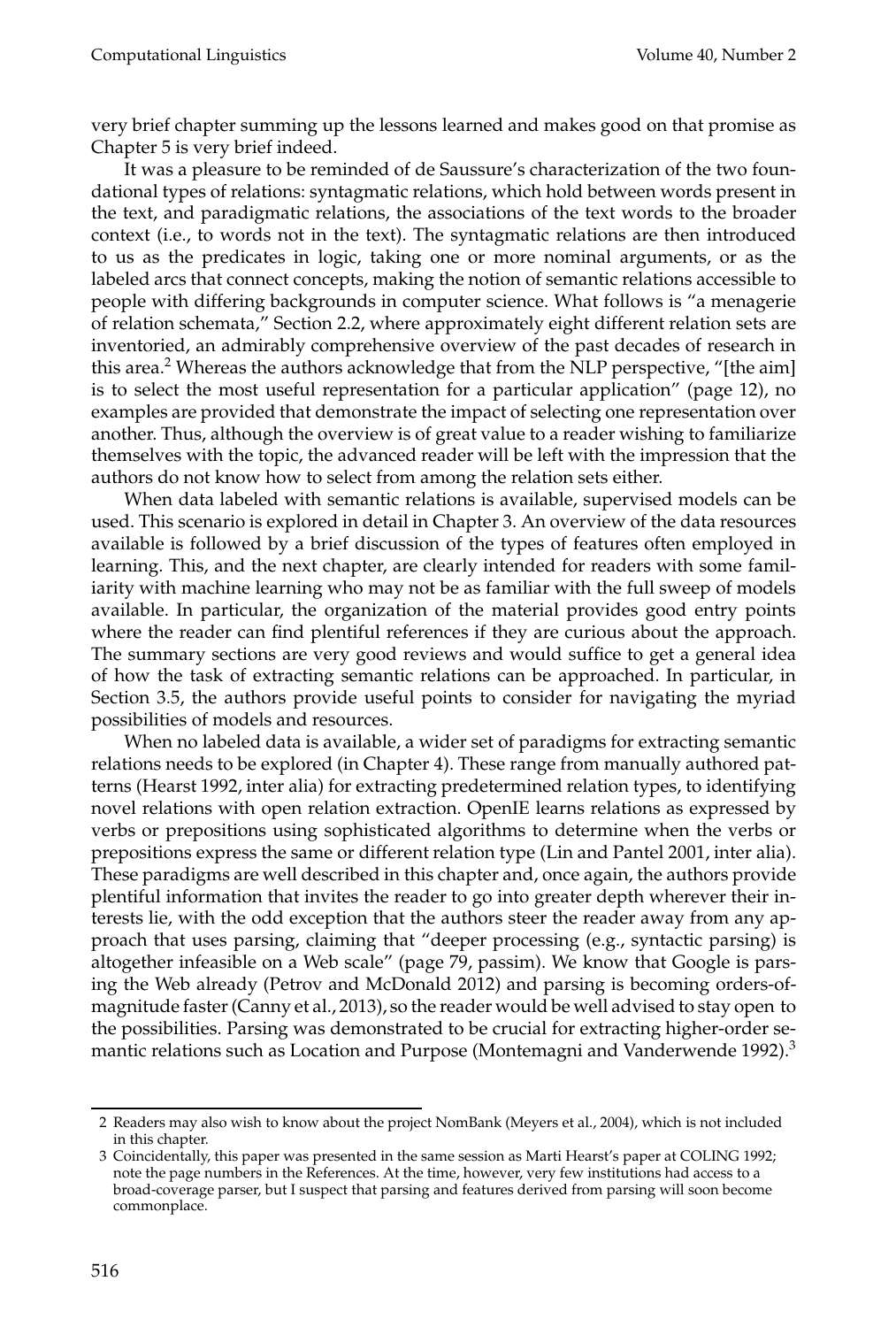very brief chapter summing up the lessons learned and makes good on that promise as Chapter 5 is very brief indeed.

It was a pleasure to be reminded of de Saussure's characterization of the two foundational types of relations: syntagmatic relations, which hold between words present in the text, and paradigmatic relations, the associations of the text words to the broader context (i.e., to words not in the text). The syntagmatic relations are then introduced to us as the predicates in logic, taking one or more nominal arguments, or as the labeled arcs that connect concepts, making the notion of semantic relations accessible to people with differing backgrounds in computer science. What follows is "a menagerie of relation schemata," Section 2.2, where approximately eight different relation sets are inventoried, an admirably comprehensive overview of the past decades of research in this area.<sup>2</sup> Whereas the authors acknowledge that from the NLP perspective, "[the aim] is to select the most useful representation for a particular application" (page 12), no examples are provided that demonstrate the impact of selecting one representation over another. Thus, although the overview is of great value to a reader wishing to familiarize themselves with the topic, the advanced reader will be left with the impression that the authors do not know how to select from among the relation sets either.

When data labeled with semantic relations is available, supervised models can be used. This scenario is explored in detail in Chapter 3. An overview of the data resources available is followed by a brief discussion of the types of features often employed in learning. This, and the next chapter, are clearly intended for readers with some familiarity with machine learning who may not be as familiar with the full sweep of models available. In particular, the organization of the material provides good entry points where the reader can find plentiful references if they are curious about the approach. The summary sections are very good reviews and would suffice to get a general idea of how the task of extracting semantic relations can be approached. In particular, in Section 3.5, the authors provide useful points to consider for navigating the myriad possibilities of models and resources.

When no labeled data is available, a wider set of paradigms for extracting semantic relations needs to be explored (in Chapter 4). These range from manually authored patterns (Hearst 1992, inter alia) for extracting predetermined relation types, to identifying novel relations with open relation extraction. OpenIE learns relations as expressed by verbs or prepositions using sophisticated algorithms to determine when the verbs or prepositions express the same or different relation type (Lin and Pantel 2001, inter alia). These paradigms are well described in this chapter and, once again, the authors provide plentiful information that invites the reader to go into greater depth wherever their interests lie, with the odd exception that the authors steer the reader away from any approach that uses parsing, claiming that "deeper processing (e.g., syntactic parsing) is altogether infeasible on a Web scale" (page 79, passim). We know that Google is parsing the Web already (Petrov and McDonald 2012) and parsing is becoming orders-ofmagnitude faster (Canny et al., 2013), so the reader would be well advised to stay open to the possibilities. Parsing was demonstrated to be crucial for extracting higher-order semantic relations such as Location and Purpose (Montemagni and Vanderwende 1992).<sup>3</sup>

<sup>2</sup> Readers may also wish to know about the project NomBank (Meyers et al., 2004), which is not included in this chapter.

<sup>3</sup> Coincidentally, this paper was presented in the same session as Marti Hearst's paper at COLING 1992; note the page numbers in the References. At the time, however, very few institutions had access to a broad-coverage parser, but I suspect that parsing and features derived from parsing will soon become commonplace.